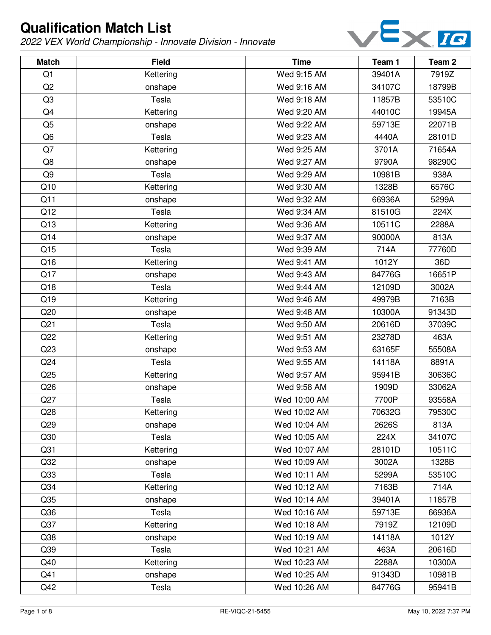

| <b>Match</b>    | <b>Field</b> | <b>Time</b>  | Team 1 | Team <sub>2</sub> |
|-----------------|--------------|--------------|--------|-------------------|
| Q1              | Kettering    | Wed 9:15 AM  | 39401A | 7919Z             |
| Q <sub>2</sub>  | onshape      | Wed 9:16 AM  | 34107C | 18799B            |
| Q <sub>3</sub>  | Tesla        | Wed 9:18 AM  | 11857B | 53510C            |
| Q4              | Kettering    | Wed 9:20 AM  | 44010C | 19945A            |
| Q <sub>5</sub>  | onshape      | Wed 9:22 AM  | 59713E | 22071B            |
| Q <sub>6</sub>  | Tesla        | Wed 9:23 AM  | 4440A  | 28101D            |
| Q7              | Kettering    | Wed 9:25 AM  | 3701A  | 71654A            |
| Q8              | onshape      | Wed 9:27 AM  | 9790A  | 98290C            |
| Q <sub>9</sub>  | Tesla        | Wed 9:29 AM  | 10981B | 938A              |
| Q10             | Kettering    | Wed 9:30 AM  | 1328B  | 6576C             |
| Q11             | onshape      | Wed 9:32 AM  | 66936A | 5299A             |
| Q12             | Tesla        | Wed 9:34 AM  | 81510G | 224X              |
| Q13             | Kettering    | Wed 9:36 AM  | 10511C | 2288A             |
| Q14             | onshape      | Wed 9:37 AM  | 90000A | 813A              |
| Q15             | Tesla        | Wed 9:39 AM  | 714A   | 77760D            |
| Q16             | Kettering    | Wed 9:41 AM  | 1012Y  | 36D               |
| Q17             | onshape      | Wed 9:43 AM  | 84776G | 16651P            |
| Q18             | Tesla        | Wed 9:44 AM  | 12109D | 3002A             |
| Q19             | Kettering    | Wed 9:46 AM  | 49979B | 7163B             |
| Q20             | onshape      | Wed 9:48 AM  | 10300A | 91343D            |
| Q <sub>21</sub> | Tesla        | Wed 9:50 AM  | 20616D | 37039C            |
| Q22             | Kettering    | Wed 9:51 AM  | 23278D | 463A              |
| Q23             | onshape      | Wed 9:53 AM  | 63165F | 55508A            |
| Q <sub>24</sub> | Tesla        | Wed 9:55 AM  | 14118A | 8891A             |
| Q25             | Kettering    | Wed 9:57 AM  | 95941B | 30636C            |
| Q26             | onshape      | Wed 9:58 AM  | 1909D  | 33062A            |
| Q27             | Tesla        | Wed 10:00 AM | 7700P  | 93558A            |
| Q28             | Kettering    | Wed 10:02 AM | 70632G | 79530C            |
| Q29             | onshape      | Wed 10:04 AM | 2626S  | 813A              |
| Q30             | Tesla        | Wed 10:05 AM | 224X   | 34107C            |
| Q <sub>31</sub> | Kettering    | Wed 10:07 AM | 28101D | 10511C            |
| Q <sub>32</sub> | onshape      | Wed 10:09 AM | 3002A  | 1328B             |
| Q <sub>33</sub> | Tesla        | Wed 10:11 AM | 5299A  | 53510C            |
| Q <sub>34</sub> | Kettering    | Wed 10:12 AM | 7163B  | 714A              |
| Q <sub>35</sub> | onshape      | Wed 10:14 AM | 39401A | 11857B            |
| Q36             | Tesla        | Wed 10:16 AM | 59713E | 66936A            |
| Q <sub>37</sub> | Kettering    | Wed 10:18 AM | 7919Z  | 12109D            |
| Q38             | onshape      | Wed 10:19 AM | 14118A | 1012Y             |
| Q39             | Tesla        | Wed 10:21 AM | 463A   | 20616D            |
| Q40             | Kettering    | Wed 10:23 AM | 2288A  | 10300A            |
| Q41             | onshape      | Wed 10:25 AM | 91343D | 10981B            |
| Q42             | Tesla        | Wed 10:26 AM | 84776G | 95941B            |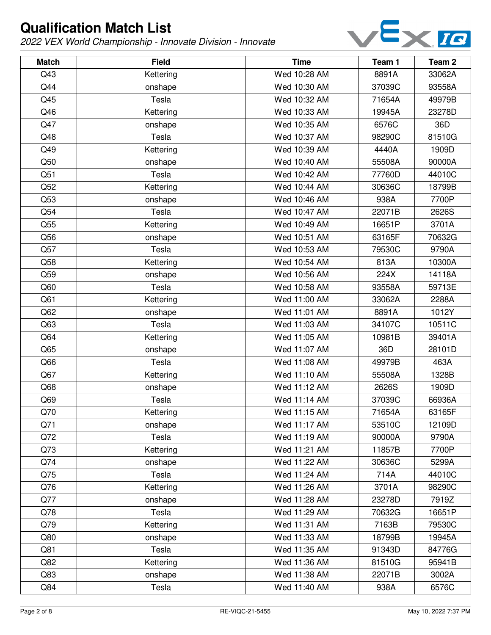

| <b>Match</b>    | <b>Field</b> | <b>Time</b>  | Team 1 | Team <sub>2</sub> |
|-----------------|--------------|--------------|--------|-------------------|
| Q43             | Kettering    | Wed 10:28 AM | 8891A  | 33062A            |
| Q44             | onshape      | Wed 10:30 AM | 37039C | 93558A            |
| Q45             | Tesla        | Wed 10:32 AM | 71654A | 49979B            |
| Q46             | Kettering    | Wed 10:33 AM | 19945A | 23278D            |
| Q47             | onshape      | Wed 10:35 AM | 6576C  | 36D               |
| Q48             | Tesla        | Wed 10:37 AM | 98290C | 81510G            |
| Q49             | Kettering    | Wed 10:39 AM | 4440A  | 1909D             |
| Q50             | onshape      | Wed 10:40 AM | 55508A | 90000A            |
| Q51             | Tesla        | Wed 10:42 AM | 77760D | 44010C            |
| Q52             | Kettering    | Wed 10:44 AM | 30636C | 18799B            |
| Q53             | onshape      | Wed 10:46 AM | 938A   | 7700P             |
| Q54             | Tesla        | Wed 10:47 AM | 22071B | 2626S             |
| Q55             | Kettering    | Wed 10:49 AM | 16651P | 3701A             |
| Q56             | onshape      | Wed 10:51 AM | 63165F | 70632G            |
| Q57             | Tesla        | Wed 10:53 AM | 79530C | 9790A             |
| Q58             | Kettering    | Wed 10:54 AM | 813A   | 10300A            |
| Q59             | onshape      | Wed 10:56 AM | 224X   | 14118A            |
| Q60             | Tesla        | Wed 10:58 AM | 93558A | 59713E            |
| Q <sub>61</sub> | Kettering    | Wed 11:00 AM | 33062A | 2288A             |
| Q62             | onshape      | Wed 11:01 AM | 8891A  | 1012Y             |
| Q63             | Tesla        | Wed 11:03 AM | 34107C | 10511C            |
| Q64             | Kettering    | Wed 11:05 AM | 10981B | 39401A            |
| Q65             | onshape      | Wed 11:07 AM | 36D    | 28101D            |
| Q66             | Tesla        | Wed 11:08 AM | 49979B | 463A              |
| Q67             | Kettering    | Wed 11:10 AM | 55508A | 1328B             |
| Q68             | onshape      | Wed 11:12 AM | 2626S  | 1909D             |
| Q69             | Tesla        | Wed 11:14 AM | 37039C | 66936A            |
| Q70             | Kettering    | Wed 11:15 AM | 71654A | 63165F            |
| Q71             | onshape      | Wed 11:17 AM | 53510C | 12109D            |
| Q72             | Tesla        | Wed 11:19 AM | 90000A | 9790A             |
| Q73             | Kettering    | Wed 11:21 AM | 11857B | 7700P             |
| Q74             | onshape      | Wed 11:22 AM | 30636C | 5299A             |
| Q75             | Tesla        | Wed 11:24 AM | 714A   | 44010C            |
| Q76             | Kettering    | Wed 11:26 AM | 3701A  | 98290C            |
| Q77             | onshape      | Wed 11:28 AM | 23278D | 7919Z             |
| Q78             | Tesla        | Wed 11:29 AM | 70632G | 16651P            |
| Q79             | Kettering    | Wed 11:31 AM | 7163B  | 79530C            |
| Q80             | onshape      | Wed 11:33 AM | 18799B | 19945A            |
| Q81             | Tesla        | Wed 11:35 AM | 91343D | 84776G            |
| Q82             | Kettering    | Wed 11:36 AM | 81510G | 95941B            |
| Q83             | onshape      | Wed 11:38 AM | 22071B | 3002A             |
| Q84             | Tesla        | Wed 11:40 AM | 938A   | 6576C             |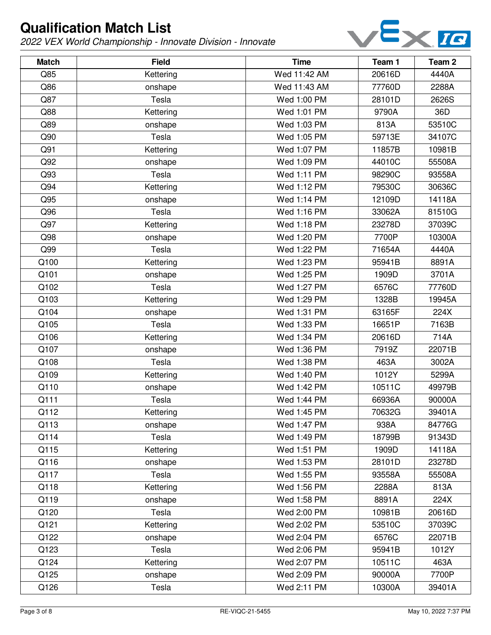

| <b>Match</b> | <b>Field</b> | <b>Time</b>  | Team 1 | Team <sub>2</sub> |
|--------------|--------------|--------------|--------|-------------------|
| Q85          | Kettering    | Wed 11:42 AM | 20616D | 4440A             |
| Q86          | onshape      | Wed 11:43 AM | 77760D | 2288A             |
| Q87          | Tesla        | Wed 1:00 PM  | 28101D | 2626S             |
| Q88          | Kettering    | Wed 1:01 PM  | 9790A  | 36D               |
| Q89          | onshape      | Wed 1:03 PM  | 813A   | 53510C            |
| Q90          | Tesla        | Wed 1:05 PM  | 59713E | 34107C            |
| Q91          | Kettering    | Wed 1:07 PM  | 11857B | 10981B            |
| Q92          | onshape      | Wed 1:09 PM  | 44010C | 55508A            |
| Q93          | Tesla        | Wed 1:11 PM  | 98290C | 93558A            |
| Q94          | Kettering    | Wed 1:12 PM  | 79530C | 30636C            |
| Q95          | onshape      | Wed 1:14 PM  | 12109D | 14118A            |
| Q96          | Tesla        | Wed 1:16 PM  | 33062A | 81510G            |
| Q97          | Kettering    | Wed 1:18 PM  | 23278D | 37039C            |
| Q98          | onshape      | Wed 1:20 PM  | 7700P  | 10300A            |
| Q99          | Tesla        | Wed 1:22 PM  | 71654A | 4440A             |
| Q100         | Kettering    | Wed 1:23 PM  | 95941B | 8891A             |
| Q101         | onshape      | Wed 1:25 PM  | 1909D  | 3701A             |
| Q102         | Tesla        | Wed 1:27 PM  | 6576C  | 77760D            |
| Q103         | Kettering    | Wed 1:29 PM  | 1328B  | 19945A            |
| Q104         | onshape      | Wed 1:31 PM  | 63165F | 224X              |
| Q105         | Tesla        | Wed 1:33 PM  | 16651P | 7163B             |
| Q106         | Kettering    | Wed 1:34 PM  | 20616D | 714A              |
| Q107         | onshape      | Wed 1:36 PM  | 7919Z  | 22071B            |
| Q108         | Tesla        | Wed 1:38 PM  | 463A   | 3002A             |
| Q109         | Kettering    | Wed 1:40 PM  | 1012Y  | 5299A             |
| Q110         | onshape      | Wed 1:42 PM  | 10511C | 49979B            |
| Q111         | Tesla        | Wed 1:44 PM  | 66936A | 90000A            |
| Q112         | Kettering    | Wed 1:45 PM  | 70632G | 39401A            |
| Q113         | onshape      | Wed 1:47 PM  | 938A   | 84776G            |
| Q114         | Tesla        | Wed 1:49 PM  | 18799B | 91343D            |
| Q115         | Kettering    | Wed 1:51 PM  | 1909D  | 14118A            |
| Q116         | onshape      | Wed 1:53 PM  | 28101D | 23278D            |
| Q117         | Tesla        | Wed 1:55 PM  | 93558A | 55508A            |
| Q118         | Kettering    | Wed 1:56 PM  | 2288A  | 813A              |
| Q119         | onshape      | Wed 1:58 PM  | 8891A  | 224X              |
| Q120         | Tesla        | Wed 2:00 PM  | 10981B | 20616D            |
| Q121         | Kettering    | Wed 2:02 PM  | 53510C | 37039C            |
| Q122         | onshape      | Wed 2:04 PM  | 6576C  | 22071B            |
| Q123         | Tesla        | Wed 2:06 PM  | 95941B | 1012Y             |
| Q124         | Kettering    | Wed 2:07 PM  | 10511C | 463A              |
| Q125         | onshape      | Wed 2:09 PM  | 90000A | 7700P             |
| Q126         | Tesla        | Wed 2:11 PM  | 10300A | 39401A            |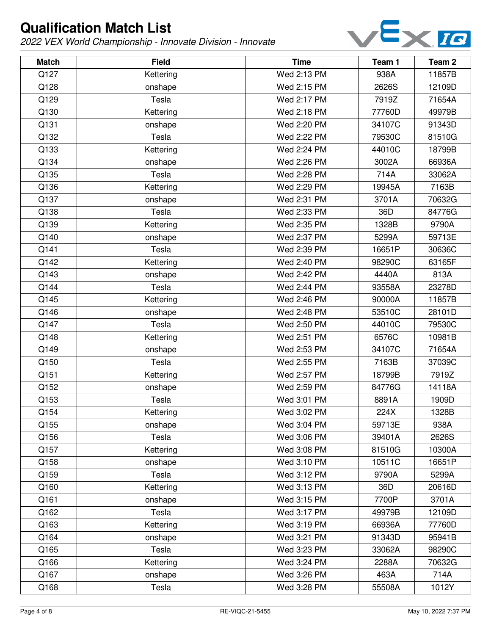

| <b>Match</b> | <b>Field</b> | <b>Time</b> | Team 1 | Team <sub>2</sub> |
|--------------|--------------|-------------|--------|-------------------|
| Q127         | Kettering    | Wed 2:13 PM | 938A   | 11857B            |
| Q128         | onshape      | Wed 2:15 PM | 2626S  | 12109D            |
| Q129         | Tesla        | Wed 2:17 PM | 7919Z  | 71654A            |
| Q130         | Kettering    | Wed 2:18 PM | 77760D | 49979B            |
| Q131         | onshape      | Wed 2:20 PM | 34107C | 91343D            |
| Q132         | Tesla        | Wed 2:22 PM | 79530C | 81510G            |
| Q133         | Kettering    | Wed 2:24 PM | 44010C | 18799B            |
| Q134         | onshape      | Wed 2:26 PM | 3002A  | 66936A            |
| Q135         | Tesla        | Wed 2:28 PM | 714A   | 33062A            |
| Q136         | Kettering    | Wed 2:29 PM | 19945A | 7163B             |
| Q137         | onshape      | Wed 2:31 PM | 3701A  | 70632G            |
| Q138         | Tesla        | Wed 2:33 PM | 36D    | 84776G            |
| Q139         | Kettering    | Wed 2:35 PM | 1328B  | 9790A             |
| Q140         | onshape      | Wed 2:37 PM | 5299A  | 59713E            |
| Q141         | Tesla        | Wed 2:39 PM | 16651P | 30636C            |
| Q142         | Kettering    | Wed 2:40 PM | 98290C | 63165F            |
| Q143         | onshape      | Wed 2:42 PM | 4440A  | 813A              |
| Q144         | Tesla        | Wed 2:44 PM | 93558A | 23278D            |
| Q145         | Kettering    | Wed 2:46 PM | 90000A | 11857B            |
| Q146         | onshape      | Wed 2:48 PM | 53510C | 28101D            |
| Q147         | Tesla        | Wed 2:50 PM | 44010C | 79530C            |
| Q148         | Kettering    | Wed 2:51 PM | 6576C  | 10981B            |
| Q149         | onshape      | Wed 2:53 PM | 34107C | 71654A            |
| Q150         | Tesla        | Wed 2:55 PM | 7163B  | 37039C            |
| Q151         | Kettering    | Wed 2:57 PM | 18799B | 7919Z             |
| Q152         | onshape      | Wed 2:59 PM | 84776G | 14118A            |
| Q153         | Tesla        | Wed 3:01 PM | 8891A  | 1909D             |
| Q154         | Kettering    | Wed 3:02 PM | 224X   | 1328B             |
| Q155         | onshape      | Wed 3:04 PM | 59713E | 938A              |
| Q156         | Tesla        | Wed 3:06 PM | 39401A | 2626S             |
| Q157         | Kettering    | Wed 3:08 PM | 81510G | 10300A            |
| Q158         | onshape      | Wed 3:10 PM | 10511C | 16651P            |
| Q159         | Tesla        | Wed 3:12 PM | 9790A  | 5299A             |
| Q160         | Kettering    | Wed 3:13 PM | 36D    | 20616D            |
| Q161         | onshape      | Wed 3:15 PM | 7700P  | 3701A             |
| Q162         | Tesla        | Wed 3:17 PM | 49979B | 12109D            |
| Q163         | Kettering    | Wed 3:19 PM | 66936A | 77760D            |
| Q164         | onshape      | Wed 3:21 PM | 91343D | 95941B            |
| Q165         | Tesla        | Wed 3:23 PM | 33062A | 98290C            |
| Q166         | Kettering    | Wed 3:24 PM | 2288A  | 70632G            |
| Q167         | onshape      | Wed 3:26 PM | 463A   | 714A              |
| Q168         | Tesla        | Wed 3:28 PM | 55508A | 1012Y             |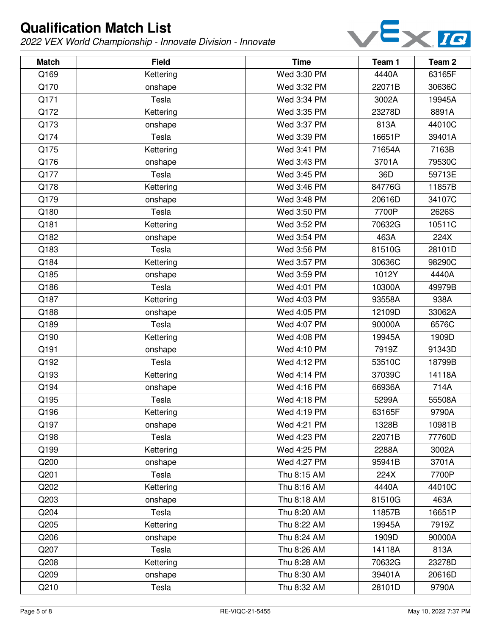

| <b>Match</b> | <b>Field</b> | <b>Time</b> | Team 1 | Team <sub>2</sub> |
|--------------|--------------|-------------|--------|-------------------|
| Q169         | Kettering    | Wed 3:30 PM | 4440A  | 63165F            |
| Q170         | onshape      | Wed 3:32 PM | 22071B | 30636C            |
| Q171         | Tesla        | Wed 3:34 PM | 3002A  | 19945A            |
| Q172         | Kettering    | Wed 3:35 PM | 23278D | 8891A             |
| Q173         | onshape      | Wed 3:37 PM | 813A   | 44010C            |
| Q174         | Tesla        | Wed 3:39 PM | 16651P | 39401A            |
| Q175         | Kettering    | Wed 3:41 PM | 71654A | 7163B             |
| Q176         | onshape      | Wed 3:43 PM | 3701A  | 79530C            |
| Q177         | Tesla        | Wed 3:45 PM | 36D    | 59713E            |
| Q178         | Kettering    | Wed 3:46 PM | 84776G | 11857B            |
| Q179         | onshape      | Wed 3:48 PM | 20616D | 34107C            |
| Q180         | Tesla        | Wed 3:50 PM | 7700P  | 2626S             |
| Q181         | Kettering    | Wed 3:52 PM | 70632G | 10511C            |
| Q182         | onshape      | Wed 3:54 PM | 463A   | 224X              |
| Q183         | Tesla        | Wed 3:56 PM | 81510G | 28101D            |
| Q184         | Kettering    | Wed 3:57 PM | 30636C | 98290C            |
| Q185         | onshape      | Wed 3:59 PM | 1012Y  | 4440A             |
| Q186         | Tesla        | Wed 4:01 PM | 10300A | 49979B            |
| Q187         | Kettering    | Wed 4:03 PM | 93558A | 938A              |
| Q188         | onshape      | Wed 4:05 PM | 12109D | 33062A            |
| Q189         | Tesla        | Wed 4:07 PM | 90000A | 6576C             |
| Q190         | Kettering    | Wed 4:08 PM | 19945A | 1909D             |
| Q191         | onshape      | Wed 4:10 PM | 7919Z  | 91343D            |
| Q192         | Tesla        | Wed 4:12 PM | 53510C | 18799B            |
| Q193         | Kettering    | Wed 4:14 PM | 37039C | 14118A            |
| Q194         | onshape      | Wed 4:16 PM | 66936A | 714A              |
| Q195         | Tesla        | Wed 4:18 PM | 5299A  | 55508A            |
| Q196         | Kettering    | Wed 4:19 PM | 63165F | 9790A             |
| Q197         | onshape      | Wed 4:21 PM | 1328B  | 10981B            |
| Q198         | Tesla        | Wed 4:23 PM | 22071B | 77760D            |
| Q199         | Kettering    | Wed 4:25 PM | 2288A  | 3002A             |
| Q200         | onshape      | Wed 4:27 PM | 95941B | 3701A             |
| Q201         | Tesla        | Thu 8:15 AM | 224X   | 7700P             |
| Q202         | Kettering    | Thu 8:16 AM | 4440A  | 44010C            |
| Q203         | onshape      | Thu 8:18 AM | 81510G | 463A              |
| Q204         | Tesla        | Thu 8:20 AM | 11857B | 16651P            |
| Q205         | Kettering    | Thu 8:22 AM | 19945A | 7919Z             |
| Q206         | onshape      | Thu 8:24 AM | 1909D  | 90000A            |
| Q207         | Tesla        | Thu 8:26 AM | 14118A | 813A              |
| Q208         | Kettering    | Thu 8:28 AM | 70632G | 23278D            |
| Q209         | onshape      | Thu 8:30 AM | 39401A | 20616D            |
| Q210         | Tesla        | Thu 8:32 AM | 28101D | 9790A             |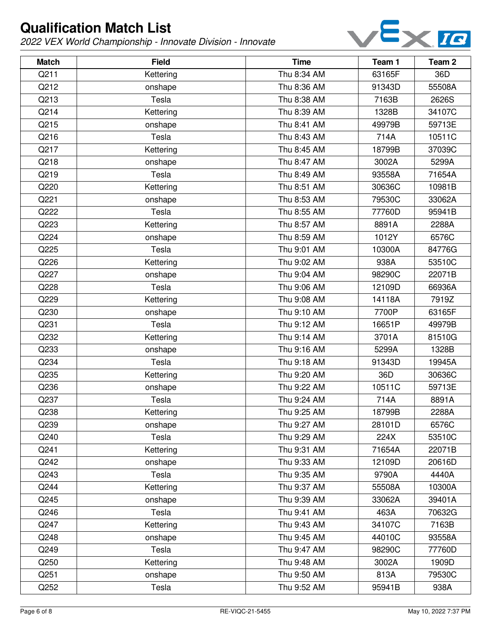

| <b>Match</b> | <b>Field</b> | <b>Time</b> | Team 1 | Team 2 |
|--------------|--------------|-------------|--------|--------|
| Q211         | Kettering    | Thu 8:34 AM | 63165F | 36D    |
| Q212         | onshape      | Thu 8:36 AM | 91343D | 55508A |
| Q213         | Tesla        | Thu 8:38 AM | 7163B  | 2626S  |
| Q214         | Kettering    | Thu 8:39 AM | 1328B  | 34107C |
| Q215         | onshape      | Thu 8:41 AM | 49979B | 59713E |
| Q216         | Tesla        | Thu 8:43 AM | 714A   | 10511C |
| Q217         | Kettering    | Thu 8:45 AM | 18799B | 37039C |
| Q218         | onshape      | Thu 8:47 AM | 3002A  | 5299A  |
| Q219         | Tesla        | Thu 8:49 AM | 93558A | 71654A |
| Q220         | Kettering    | Thu 8:51 AM | 30636C | 10981B |
| Q221         | onshape      | Thu 8:53 AM | 79530C | 33062A |
| Q222         | Tesla        | Thu 8:55 AM | 77760D | 95941B |
| Q223         | Kettering    | Thu 8:57 AM | 8891A  | 2288A  |
| Q224         | onshape      | Thu 8:59 AM | 1012Y  | 6576C  |
| Q225         | Tesla        | Thu 9:01 AM | 10300A | 84776G |
| Q226         | Kettering    | Thu 9:02 AM | 938A   | 53510C |
| Q227         | onshape      | Thu 9:04 AM | 98290C | 22071B |
| Q228         | Tesla        | Thu 9:06 AM | 12109D | 66936A |
| Q229         | Kettering    | Thu 9:08 AM | 14118A | 7919Z  |
| Q230         | onshape      | Thu 9:10 AM | 7700P  | 63165F |
| Q231         | Tesla        | Thu 9:12 AM | 16651P | 49979B |
| Q232         | Kettering    | Thu 9:14 AM | 3701A  | 81510G |
| Q233         | onshape      | Thu 9:16 AM | 5299A  | 1328B  |
| Q234         | Tesla        | Thu 9:18 AM | 91343D | 19945A |
| Q235         | Kettering    | Thu 9:20 AM | 36D    | 30636C |
| Q236         | onshape      | Thu 9:22 AM | 10511C | 59713E |
| Q237         | Tesla        | Thu 9:24 AM | 714A   | 8891A  |
| Q238         | Kettering    | Thu 9:25 AM | 18799B | 2288A  |
| Q239         | onshape      | Thu 9:27 AM | 28101D | 6576C  |
| Q240         | Tesla        | Thu 9:29 AM | 224X   | 53510C |
| Q241         | Kettering    | Thu 9:31 AM | 71654A | 22071B |
| Q242         | onshape      | Thu 9:33 AM | 12109D | 20616D |
| Q243         | Tesla        | Thu 9:35 AM | 9790A  | 4440A  |
| Q244         | Kettering    | Thu 9:37 AM | 55508A | 10300A |
| Q245         | onshape      | Thu 9:39 AM | 33062A | 39401A |
| Q246         | Tesla        | Thu 9:41 AM | 463A   | 70632G |
| Q247         | Kettering    | Thu 9:43 AM | 34107C | 7163B  |
| Q248         | onshape      | Thu 9:45 AM | 44010C | 93558A |
| Q249         | Tesla        | Thu 9:47 AM | 98290C | 77760D |
| Q250         | Kettering    | Thu 9:48 AM | 3002A  | 1909D  |
| Q251         | onshape      | Thu 9:50 AM | 813A   | 79530C |
| Q252         | Tesla        | Thu 9:52 AM | 95941B | 938A   |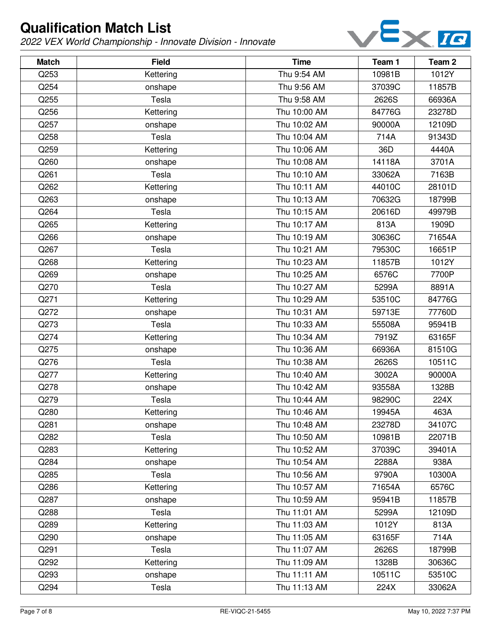

| <b>Match</b> | <b>Field</b> | <b>Time</b>  | Team 1 | Team <sub>2</sub> |
|--------------|--------------|--------------|--------|-------------------|
| Q253         | Kettering    | Thu 9:54 AM  | 10981B | 1012Y             |
| Q254         | onshape      | Thu 9:56 AM  | 37039C | 11857B            |
| Q255         | Tesla        | Thu 9:58 AM  | 2626S  | 66936A            |
| Q256         | Kettering    | Thu 10:00 AM | 84776G | 23278D            |
| Q257         | onshape      | Thu 10:02 AM | 90000A | 12109D            |
| Q258         | Tesla        | Thu 10:04 AM | 714A   | 91343D            |
| Q259         | Kettering    | Thu 10:06 AM | 36D    | 4440A             |
| Q260         | onshape      | Thu 10:08 AM | 14118A | 3701A             |
| Q261         | Tesla        | Thu 10:10 AM | 33062A | 7163B             |
| Q262         | Kettering    | Thu 10:11 AM | 44010C | 28101D            |
| Q263         | onshape      | Thu 10:13 AM | 70632G | 18799B            |
| Q264         | Tesla        | Thu 10:15 AM | 20616D | 49979B            |
| Q265         | Kettering    | Thu 10:17 AM | 813A   | 1909D             |
| Q266         | onshape      | Thu 10:19 AM | 30636C | 71654A            |
| Q267         | Tesla        | Thu 10:21 AM | 79530C | 16651P            |
| Q268         | Kettering    | Thu 10:23 AM | 11857B | 1012Y             |
| Q269         | onshape      | Thu 10:25 AM | 6576C  | 7700P             |
| Q270         | Tesla        | Thu 10:27 AM | 5299A  | 8891A             |
| Q271         | Kettering    | Thu 10:29 AM | 53510C | 84776G            |
| Q272         | onshape      | Thu 10:31 AM | 59713E | 77760D            |
| Q273         | Tesla        | Thu 10:33 AM | 55508A | 95941B            |
| Q274         | Kettering    | Thu 10:34 AM | 7919Z  | 63165F            |
| Q275         | onshape      | Thu 10:36 AM | 66936A | 81510G            |
| Q276         | Tesla        | Thu 10:38 AM | 2626S  | 10511C            |
| Q277         | Kettering    | Thu 10:40 AM | 3002A  | 90000A            |
| Q278         | onshape      | Thu 10:42 AM | 93558A | 1328B             |
| Q279         | Tesla        | Thu 10:44 AM | 98290C | 224X              |
| Q280         | Kettering    | Thu 10:46 AM | 19945A | 463A              |
| Q281         | onshape      | Thu 10:48 AM | 23278D | 34107C            |
| Q282         | Tesla        | Thu 10:50 AM | 10981B | 22071B            |
| Q283         | Kettering    | Thu 10:52 AM | 37039C | 39401A            |
| Q284         | onshape      | Thu 10:54 AM | 2288A  | 938A              |
| Q285         | Tesla        | Thu 10:56 AM | 9790A  | 10300A            |
| Q286         | Kettering    | Thu 10:57 AM | 71654A | 6576C             |
| Q287         | onshape      | Thu 10:59 AM | 95941B | 11857B            |
| Q288         | Tesla        | Thu 11:01 AM | 5299A  | 12109D            |
| Q289         | Kettering    | Thu 11:03 AM | 1012Y  | 813A              |
| Q290         | onshape      | Thu 11:05 AM | 63165F | 714A              |
| Q291         | Tesla        | Thu 11:07 AM | 2626S  | 18799B            |
| Q292         | Kettering    | Thu 11:09 AM | 1328B  | 30636C            |
| Q293         | onshape      | Thu 11:11 AM | 10511C | 53510C            |
| Q294         | Tesla        | Thu 11:13 AM | 224X   | 33062A            |